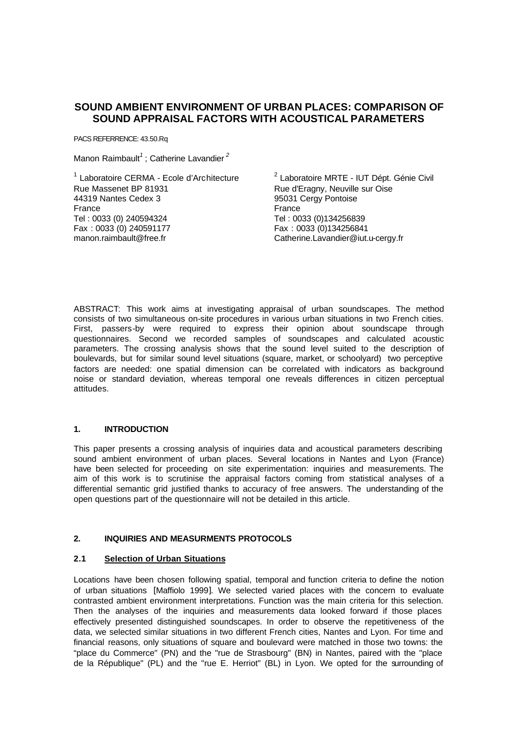# **SOUND AMBIENT ENVIRONMENT OF URBAN PLACES: COMPARISON OF SOUND APPRAISAL FACTORS WITH ACOUSTICAL PARAMETERS**

PACS REFERRENCE: 43.50.Rq

Manon Raimbault*<sup>1</sup>* ; Catherine Lavandier*<sup>2</sup>*

<sup>1</sup> Laboratoire CERMA - Ecole d'Architecture Rue Massenet BP 81931 44319 Nantes Cedex 3 France Tel : 0033 (0) 240594324 Fax : 0033 (0) 240591177 manon.raimbault@free.fr

<sup>2</sup> Laboratoire MRTE - IUT Dépt. Génie Civil Rue d'Eragny, Neuville sur Oise 95031 Cergy Pontoise France Tel : 0033 (0)134256839 Fax : 0033 (0)134256841 Catherine.Lavandier@iut.u-cergy.fr

ABSTRACT: This work aims at investigating appraisal of urban soundscapes. The method consists of two simultaneous on-site procedures in various urban situations in two French cities. First, passers-by were required to express their opinion about soundscape through questionnaires. Second we recorded samples of soundscapes and calculated acoustic parameters. The crossing analysis shows that the sound level suited to the description of boulevards, but for similar sound level situations (square, market, or schoolyard) two perceptive factors are needed: one spatial dimension can be correlated with indicators as background noise or standard deviation, whereas temporal one reveals differences in citizen perceptual attitudes.

### **1. INTRODUCTION**

This paper presents a crossing analysis of inquiries data and acoustical parameters describing sound ambient environment of urban places. Several locations in Nantes and Lyon (France) have been selected for proceeding on site experimentation: inquiries and measurements. The aim of this work is to scrutinise the appraisal factors coming from statistical analyses of a differential semantic grid justified thanks to accuracy of free answers. The understanding of the open questions part of the questionnaire will not be detailed in this article.

### **2. INQUIRIES AND MEASURMENTS PROTOCOLS**

#### **2.1 Selection of Urban Situations**

Locations have been chosen following spatial, temporal and function criteria to define the notion of urban situations [Maffiolo 1999]. We selected varied places with the concern to evaluate contrasted ambient environment interpretations. Function was the main criteria for this selection. Then the analyses of the inquiries and measurements data looked forward if those places effectively presented distinguished soundscapes. In order to observe the repetitiveness of the data, we selected similar situations in two different French cities, Nantes and Lyon. For time and financial reasons, only situations of square and boulevard were matched in those two towns: the "place du Commerce" (PN) and the "rue de Strasbourg" (BN) in Nantes, paired with the "place de la République" (PL) and the "rue E. Herriot" (BL) in Lyon. We opted for the surrounding of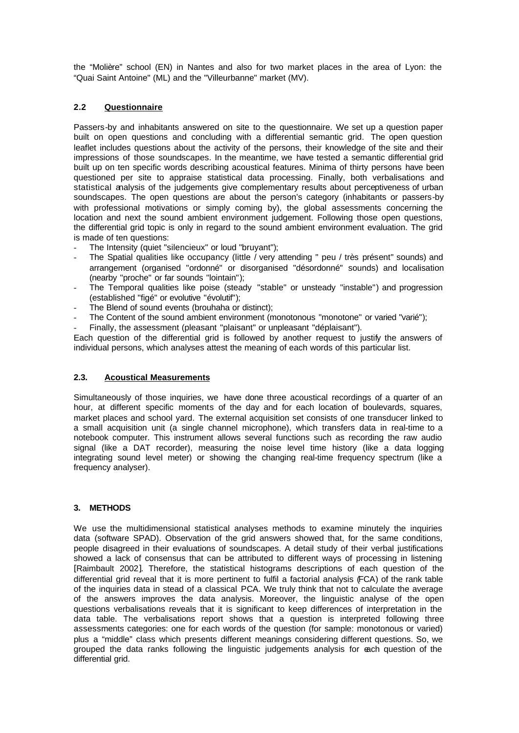the "Molière" school (EN) in Nantes and also for two market places in the area of Lyon: the "Quai Saint Antoine" (ML) and the "Villeurbanne" market (MV).

## **2.2 Questionnaire**

Passers-by and inhabitants answered on site to the questionnaire. We set up a question paper built on open questions and concluding with a differential semantic grid. The open question leaflet includes questions about the activity of the persons, their knowledge of the site and their impressions of those soundscapes. In the meantime, we have tested a semantic differential grid built up on ten specific words describing acoustical features. Minima of thirty persons have been questioned per site to appraise statistical data processing. Finally, both verbalisations and statistical analysis of the judgements give complementary results about perceptiveness of urban soundscapes. The open questions are about the person's category (inhabitants or passers-by with professional motivations or simply coming by), the global assessments concerning the location and next the sound ambient environment judgement. Following those open questions, the differential grid topic is only in regard to the sound ambient environment evaluation. The grid is made of ten questions:

- The Intensity (quiet "silencieux" or loud "bruyant");
- The Spatial qualities like occupancy (little / very attending " peu / très présent" sounds) and arrangement (organised "ordonné" or disorganised "désordonné" sounds) and localisation (nearby "proche" or far sounds "lointain");
- The Temporal qualities like poise (steady "stable" or unsteady "instable") and progression (established "figé" or evolutive "évolutif");
- The Blend of sound events (brouhaha or distinct);
- The Content of the sound ambient environment (monotonous "monotone" or varied "varié");
- Finally, the assessment (pleasant "plaisant" or unpleasant "déplaisant").

Each question of the differential grid is followed by another request to justify the answers of individual persons, which analyses attest the meaning of each words of this particular list.

### **2.3. Acoustical Measurements**

Simultaneously of those inquiries, we have done three acoustical recordings of a quarter of an hour, at different specific moments of the day and for each location of boulevards, squares, market places and school yard. The external acquisition set consists of one transducer linked to a small acquisition unit (a single channel microphone), which transfers data in real-time to a notebook computer. This instrument allows several functions such as recording the raw audio signal (like a DAT recorder), measuring the noise level time history (like a data logging integrating sound level meter) or showing the changing real-time frequency spectrum (like a frequency analyser).

### **3. METHODS**

We use the multidimensional statistical analyses methods to examine minutely the inquiries data (software SPAD). Observation of the grid answers showed that, for the same conditions, people disagreed in their evaluations of soundscapes. A detail study of their verbal justifications showed a lack of consensus that can be attributed to different ways of processing in listening [Raimbault 2002]. Therefore, the statistical histograms descriptions of each question of the differential grid reveal that it is more pertinent to fulfil a factorial analysis (FCA) of the rank table of the inquiries data in stead of a classical PCA. We truly think that not to calculate the average of the answers improves the data analysis. Moreover, the linguistic analyse of the open questions verbalisations reveals that it is significant to keep differences of interpretation in the data table. The verbalisations report shows that a question is interpreted following three assessments categories: one for each words of the question (for sample: monotonous or varied) plus a "middle" class which presents different meanings considering different questions. So, we grouped the data ranks following the linguistic judgements analysis for each question of the differential grid.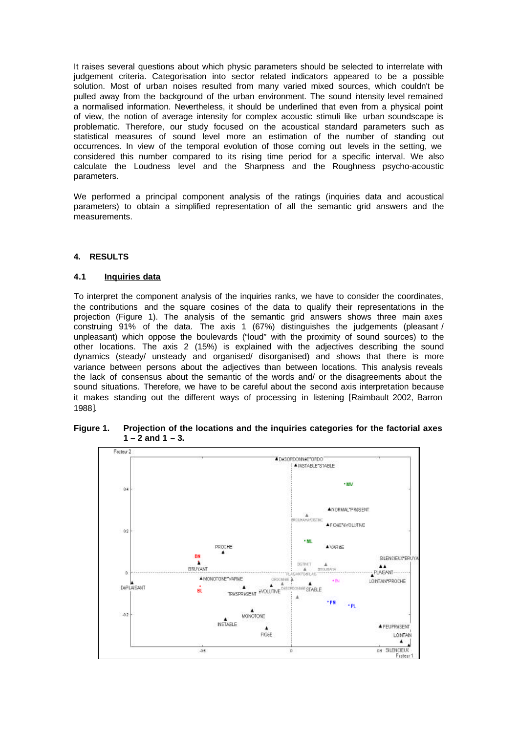It raises several questions about which physic parameters should be selected to interrelate with judgement criteria. Categorisation into sector related indicators appeared to be a possible solution. Most of urban noises resulted from many varied mixed sources, which couldn't be pulled away from the background of the urban environment. The sound intensity level remained a normalised information. Nevertheless, it should be underlined that even from a physical point of view, the notion of average intensity for complex acoustic stimuli like urban soundscape is problematic. Therefore, our study focused on the acoustical standard parameters such as statistical measures of sound level more an estimation of the number of standing out occurrences. In view of the temporal evolution of those coming out levels in the setting, we considered this number compared to its rising time period for a specific interval. We also calculate the Loudness level and the Sharpness and the Roughness psycho-acoustic parameters.

We performed a principal component analysis of the ratings (inquiries data and acoustical parameters) to obtain a simplified representation of all the semantic grid answers and the measurements.

#### **4. RESULTS**

#### **4.1 Inquiries data**

To interpret the component analysis of the inquiries ranks, we have to consider the coordinates, the contributions and the square cosines of the data to qualify their representations in the projection (Figure 1). The analysis of the semantic grid answers shows three main axes construing 91% of the data. The axis 1 (67%) distinguishes the judgements (pleasant / unpleasant) which oppose the boulevards ("loud" with the proximity of sound sources) to the other locations. The axis 2 (15%) is explained with the adjectives describing the sound dynamics (steady/ unsteady and organised/ disorganised) and shows that there is more variance between persons about the adjectives than between locations. This analysis reveals the lack of consensus about the semantic of the words and/ or the disagreements about the sound situations. Therefore, we have to be careful about the second axis interpretation because it makes standing out the different ways of processing in listening [Raimbault 2002, Barron 1988].



**Figure 1. Projection of the locations and the inquiries categories for the factorial axes 1 – 2 and 1 – 3.**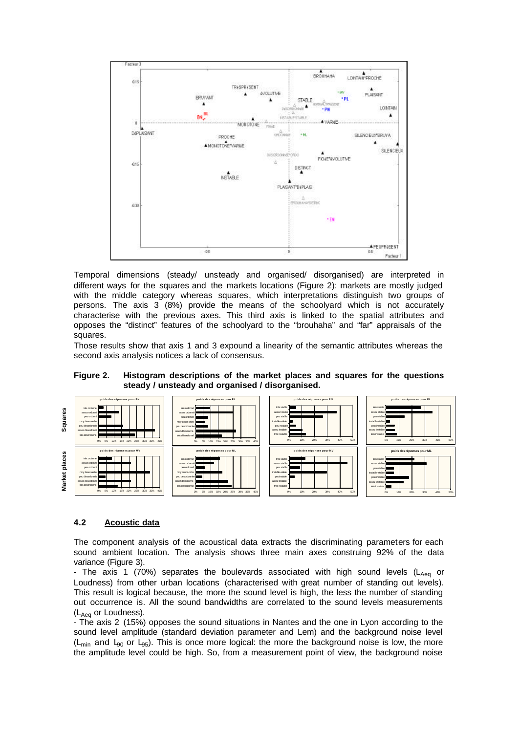

Temporal dimensions (steady/ unsteady and organised/ disorganised) are interpreted in different ways for the squares and the markets locations (Figure 2): markets are mostly judged with the middle category whereas squares, which interpretations distinguish two groups of persons. The axis 3 (8%) provide the means of the schoolyard which is not accurately characterise with the previous axes. This third axis is linked to the spatial attributes and opposes the "distinct" features of the schoolyard to the "brouhaha" and "far" appraisals of the squares.

Those results show that axis 1 and 3 expound a linearity of the semantic attributes whereas the second axis analysis notices a lack of consensus.



**Figure 2. Histogram descriptions of the market places and squares for the questions steady / unsteady and organised / disorganised.**

#### **4.2 Acoustic data**

The component analysis of the acoustical data extracts the discriminating parameters for each sound ambient location. The analysis shows three main axes construing 92% of the data variance (Figure 3).

- The axis 1 (70%) separates the boulevards associated with high sound levels ( $L_{Aeq}$  or Loudness) from other urban locations (characterised with great number of standing out levels). This result is logical because, the more the sound level is high, the less the number of standing out occurrence is. All the sound bandwidths are correlated to the sound levels measurements (L<sub>Aeg</sub> or Loudness).

- The axis 2 (15%) opposes the sound situations in Nantes and the one in Lyon according to the sound level amplitude (standard deviation parameter and Lem) and the background noise level ( $L_{min}$  and  $L_{90}$  or  $L_{95}$ ). This is once more logical: the more the background noise is low, the more the amplitude level could be high. So, from a measurement point of view, the background noise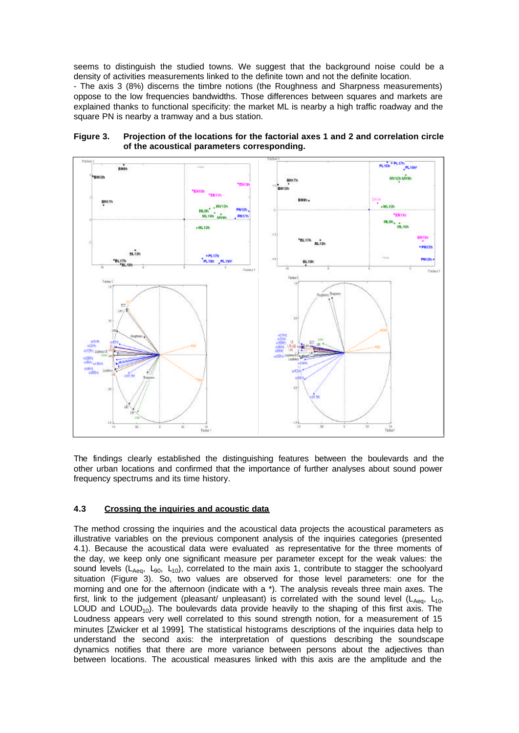seems to distinguish the studied towns. We suggest that the background noise could be a density of activities measurements linked to the definite town and not the definite location.

- The axis 3 (8%) discerns the timbre notions (the Roughness and Sharpness measurements) oppose to the low frequencies bandwidths. Those differences between squares and markets are explained thanks to functional specificity: the market ML is nearby a high traffic roadway and the square PN is nearby a tramway and a bus station.



**Figure 3. Projection of the locations for the factorial axes 1 and 2 and correlation circle of the acoustical parameters corresponding.**

The findings clearly established the distinguishing features between the boulevards and the other urban locations and confirmed that the importance of further analyses about sound power frequency spectrums and its time history.

### **4.3 Crossing the inquiries and acoustic data**

The method crossing the inquiries and the acoustical data projects the acoustical parameters as illustrative variables on the previous component analysis of the inquiries categories (presented 4.1). Because the acoustical data were evaluated as representative for the three moments of the day, we keep only one significant measure per parameter except for the weak values: the sound levels ( $L_{Aeq}$ ,  $L_{90}$ ,  $L_{10}$ ), correlated to the main axis 1, contribute to stagger the schoolyard situation (Figure 3). So, two values are observed for those level parameters: one for the morning and one for the afternoon (indicate with a \*). The analysis reveals three main axes. The first, link to the judgement (pleasant/ unpleasant) is correlated with the sound level ( $L_{Aea}$ ,  $L_{10}$ , LOUD and LOUD<sub>10</sub>). The boulevards data provide heavily to the shaping of this first axis. The Loudness appears very well correlated to this sound strength notion, for a measurement of 15 minutes [Zwicker et al 1999]. The statistical histograms descriptions of the inquiries data help to understand the second axis: the interpretation of questions describing the soundscape dynamics notifies that there are more variance between persons about the adjectives than between locations. The acoustical measures linked with this axis are the amplitude and the